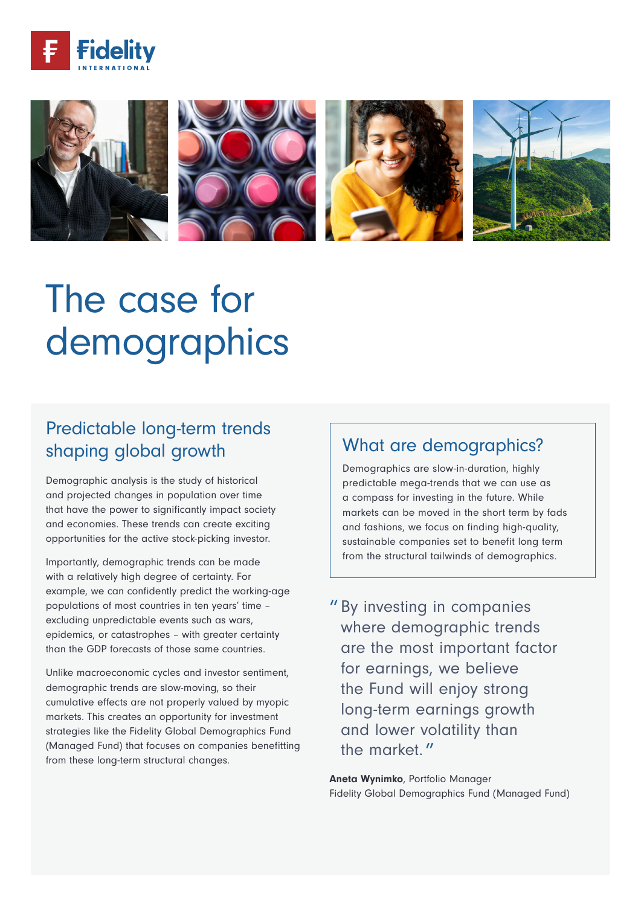



# The case for demographics

# Predictable long-term trends shaping global growth

Demographic analysis is the study of historical and projected changes in population over time that have the power to significantly impact society and economies. These trends can create exciting opportunities for the active stock-picking investor.

Importantly, demographic trends can be made with a relatively high degree of certainty. For example, we can confidently predict the working-age populations of most countries in ten years' time – excluding unpredictable events such as wars, epidemics, or catastrophes – with greater certainty than the GDP forecasts of those same countries.

Unlike macroeconomic cycles and investor sentiment, demographic trends are slow-moving, so their cumulative effects are not properly valued by myopic markets. This creates an opportunity for investment strategies like the Fidelity Global Demographics Fund (Managed Fund) that focuses on companies benefitting from these long-term structural changes.

## What are demographics?

Demographics are slow-in-duration, highly predictable mega-trends that we can use as a compass for investing in the future. While markets can be moved in the short term by fads and fashions, we focus on finding high-quality, sustainable companies set to benefit long term from the structural tailwinds of demographics.

" By investing in companies where demographic trends are the most important factor for earnings, we believe the Fund will enjoy strong long-term earnings growth and lower volatility than the market."

Aneta Wynimko, Portfolio Manager Fidelity Global Demographics Fund (Managed Fund)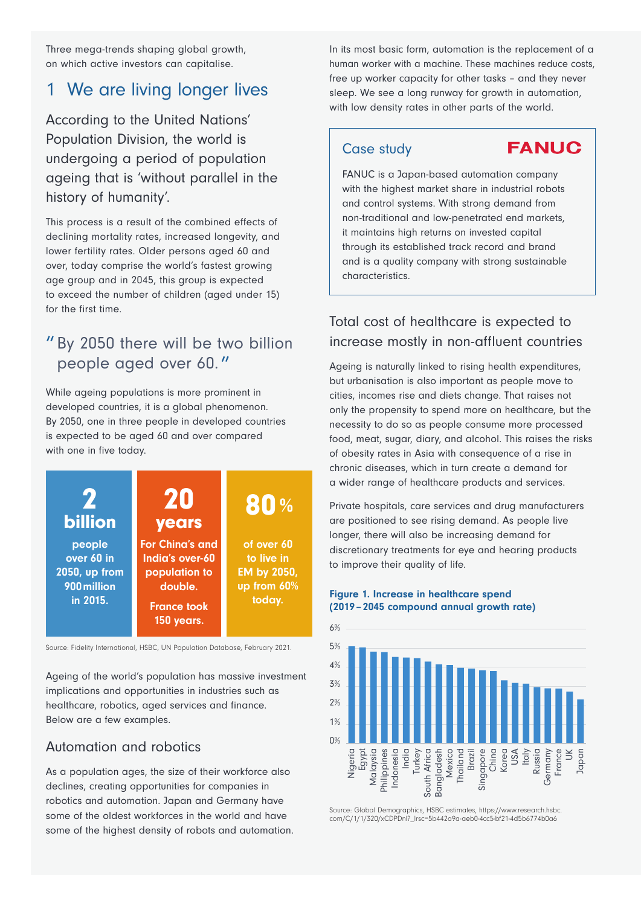Three mega-trends shaping global growth, on which active investors can capitalise.

## 1 We are living longer lives

According to the United Nations' Population Division, the world is undergoing a period of population ageing that is 'without parallel in the history of humanity'.

This process is a result of the combined effects of declining mortality rates, increased longevity, and lower fertility rates. Older persons aged 60 and over, today comprise the world's fastest growing age group and in 2045, this group is expected to exceed the number of children (aged under 15) for the first time.

## " By 2050 there will be two billion people aged over 60. "

While ageing populations is more prominent in developed countries, it is a global phenomenon. By 2050, one in three people in developed countries is expected to be aged 60 and over compared with one in five today.



Source: Fidelity International, HSBC, UN Population Database, February 2021.

Ageing of the world's population has massive investment implications and opportunities in industries such as healthcare, robotics, aged services and finance. Below are a few examples.

#### Automation and robotics

As a population ages, the size of their workforce also declines, creating opportunities for companies in robotics and automation. Japan and Germany have some of the oldest workforces in the world and have some of the highest density of robots and automation. In its most basic form, automation is the replacement of a human worker with a machine. These machines reduce costs, free up worker capacity for other tasks – and they never sleep. We see a long runway for growth in automation, with low density rates in other parts of the world.

#### Case study

**FANUC** 

FANUC is a Japan-based automation company with the highest market share in industrial robots and control systems. With strong demand from non-traditional and low-penetrated end markets, it maintains high returns on invested capital through its established track record and brand and is a quality company with strong sustainable characteristics.

### Total cost of healthcare is expected to increase mostly in non-affluent countries

Ageing is naturally linked to rising health expenditures, but urbanisation is also important as people move to cities, incomes rise and diets change. That raises not only the propensity to spend more on healthcare, but the necessity to do so as people consume more processed food, meat, sugar, diary, and alcohol. This raises the risks of obesity rates in Asia with consequence of a rise in chronic diseases, which in turn create a demand for a wider range of healthcare products and services.

Private hospitals, care services and drug manufacturers are positioned to see rising demand. As people live longer, there will also be increasing demand for discretionary treatments for eye and hearing products to improve their quality of life.

#### Figure 1. Increase in healthcare spend (2019–2045 compound annual growth rate)



Source: Global Demographics, HSBC estimates, https://www.research.hsbc. com/C/1/1/320/xCDPDnl?\_lrsc=5b442a9a-aeb0-4cc5-bf21-4d5b6774b0a6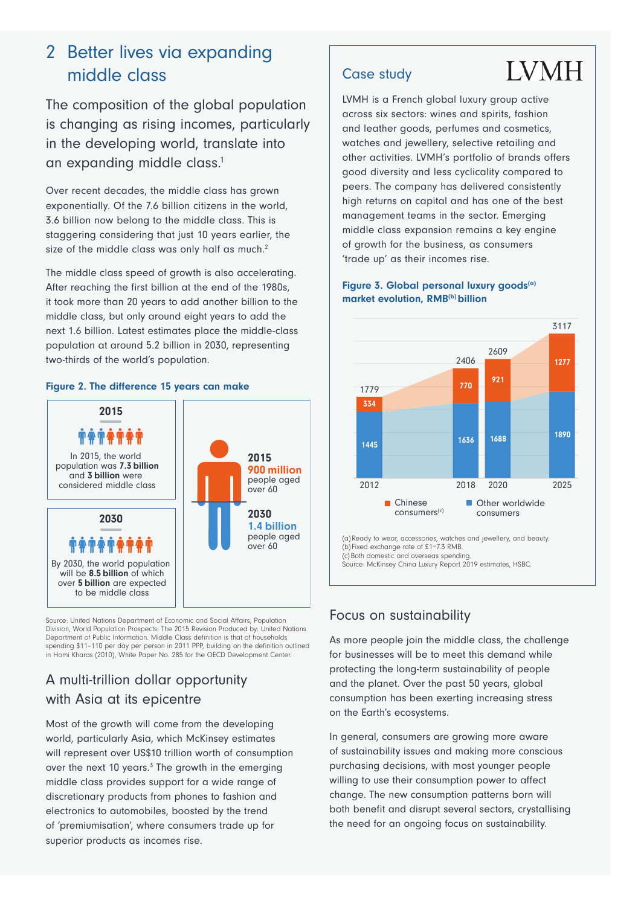# 2 Better lives via expanding middle class

The composition of the global population is changing as rising incomes, particularly in the developing world, translate into an expanding middle class.<sup>1</sup>

Over recent decades, the middle class has grown exponentially. Of the 7.6 billion citizens in the world, 3.6 billion now belong to the middle class. This is staggering considering that just 10 years earlier, the size of the middle class was only half as much.<sup>2</sup>

The middle class speed of growth is also accelerating. After reaching the first billion at the end of the 1980s, it took more than 20 years to add another billion to the middle class, but only around eight years to add the next 1.6 billion. Latest estimates place the middle-class population at around 5.2 billion in 2030, representing two-thirds of the world's population.

#### Figure 2. The difference 15 years can make



Source: United Nations Department of Economic and Social Affairs, Population Division, World Population Prospects: The 2015 Revision Produced by: United Nations Department of Public Information. Middle Class definition is that of households spending \$11–110 per day per person in 2011 PPP, building on the definition outlined in Homi Kharas (2010), White Paper No. 285 for the OECD Development Center.

## A multi-trillion dollar opportunity with Asia at its epicentre

Most of the growth will come from the developing world, particularly Asia, which McKinsey estimates will represent over US\$10 trillion worth of consumption over the next 10 years.<sup>3</sup> The growth in the emerging middle class provides support for a wide range of discretionary products from phones to fashion and electronics to automobiles, boosted by the trend of 'premiumisation', where consumers trade up for superior products as incomes rise.

#### Case study

LVMH is a French global luxury group active across six sectors: wines and spirits, fashion and leather goods, perfumes and cosmetics, watches and jewellery, selective retailing and other activities. LVMH's portfolio of brands offers good diversity and less cyclicality compared to peers. The company has delivered consistently high returns on capital and has one of the best management teams in the sector. Emerging middle class expansion remains a key engine of growth for the business, as consumers 'trade up' as their incomes rise.

**LVMH** 

#### Figure 3. Global personal luxury goods<sup>(a)</sup> market evolution, RMB<sup>(b)</sup> billion



(a)Ready to wear, accessories, watches and jewellery, and beauty. (b) Fixed exchange rate of £1=7.3 RMB. (c)Both domestic and overseas spending. Source: McKinsey China Luxury Report 2019 estimates, HSBC.

## Focus on sustainability

As more people join the middle class, the challenge for businesses will be to meet this demand while protecting the long-term sustainability of people and the planet. Over the past 50 years, global consumption has been exerting increasing stress on the Earth's ecosystems.

In general, consumers are growing more aware of sustainability issues and making more conscious purchasing decisions, with most younger people willing to use their consumption power to affect change. The new consumption patterns born will both benefit and disrupt several sectors, crystallising the need for an ongoing focus on sustainability.